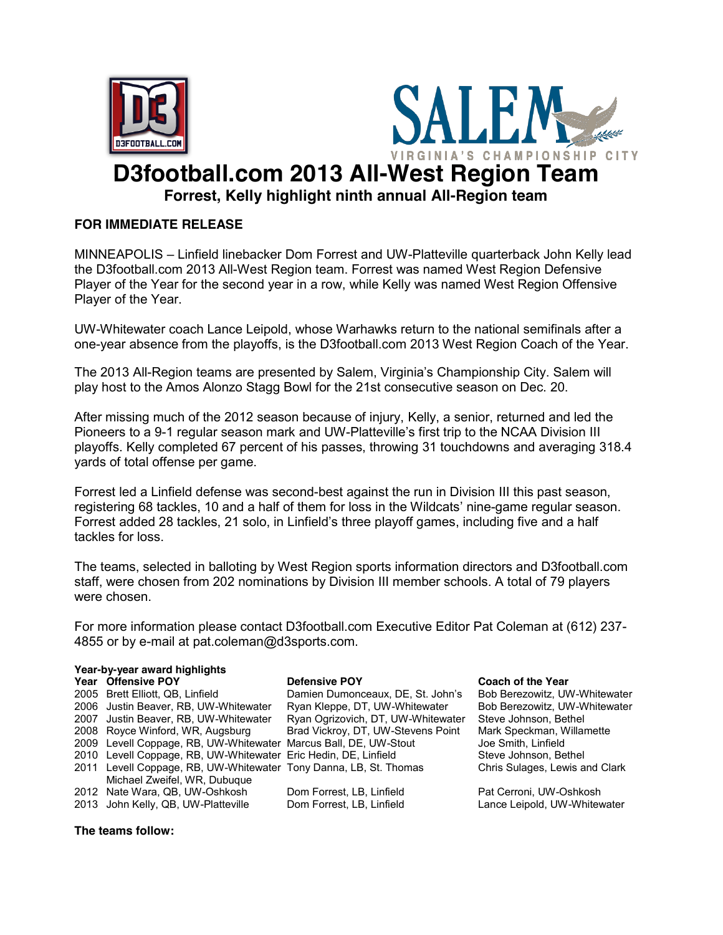



## **D3football.com 2013 All-West Region Team**

**Forrest, Kelly highlight ninth annual All-Region team**

## **FOR IMMEDIATE RELEASE**

MINNEAPOLIS – Linfield linebacker Dom Forrest and UW-Platteville quarterback John Kelly lead the D3football.com 2013 All-West Region team. Forrest was named West Region Defensive Player of the Year for the second year in a row, while Kelly was named West Region Offensive Player of the Year.

UW-Whitewater coach Lance Leipold, whose Warhawks return to the national semifinals after a one-year absence from the playoffs, is the D3football.com 2013 West Region Coach of the Year.

The 2013 All-Region teams are presented by Salem, Virginia's Championship City. Salem will play host to the Amos Alonzo Stagg Bowl for the 21st consecutive season on Dec. 20.

After missing much of the 2012 season because of injury, Kelly, a senior, returned and led the Pioneers to a 9-1 regular season mark and UW-Platteville's first trip to the NCAA Division III playoffs. Kelly completed 67 percent of his passes, throwing 31 touchdowns and averaging 318.4 yards of total offense per game.

Forrest led a Linfield defense was second-best against the run in Division III this past season, registering 68 tackles, 10 and a half of them for loss in the Wildcats' nine-game regular season. Forrest added 28 tackles, 21 solo, in Linfield's three playoff games, including five and a half tackles for loss.

The teams, selected in balloting by West Region sports information directors and D3football.com staff, were chosen from 202 nominations by Division III member schools. A total of 79 players were chosen.

For more information please contact D3football.com Executive Editor Pat Coleman at (612) 237- 4855 or by e-mail at pat.coleman@d3sports.com.

| Year-by-year award highlights |                                                                   |                                    |                                |  |  |  |  |  |  |  |  |
|-------------------------------|-------------------------------------------------------------------|------------------------------------|--------------------------------|--|--|--|--|--|--|--|--|
|                               | Year Offensive POY                                                | <b>Defensive POY</b>               | <b>Coach of the Year</b>       |  |  |  |  |  |  |  |  |
|                               | 2005 Brett Elliott, QB, Linfield                                  | Damien Dumonceaux, DE, St. John's  | Bob Berezowitz, UW-Whitewater  |  |  |  |  |  |  |  |  |
|                               | 2006 Justin Beaver, RB, UW-Whitewater                             | Ryan Kleppe, DT, UW-Whitewater     | Bob Berezowitz, UW-Whitewater  |  |  |  |  |  |  |  |  |
|                               | 2007 Justin Beaver, RB, UW-Whitewater                             | Ryan Ogrizovich, DT, UW-Whitewater | Steve Johnson, Bethel          |  |  |  |  |  |  |  |  |
|                               | 2008 Royce Winford, WR, Augsburg                                  | Brad Vickroy, DT, UW-Stevens Point | Mark Speckman, Willamette      |  |  |  |  |  |  |  |  |
|                               | 2009 Levell Coppage, RB, UW-Whitewater Marcus Ball, DE, UW-Stout  |                                    | Joe Smith, Linfield            |  |  |  |  |  |  |  |  |
|                               | 2010 Levell Coppage, RB, UW-Whitewater Eric Hedin, DE, Linfield   |                                    | Steve Johnson, Bethel          |  |  |  |  |  |  |  |  |
|                               | 2011 Levell Coppage, RB, UW-Whitewater Tony Danna, LB, St. Thomas |                                    | Chris Sulages, Lewis and Clark |  |  |  |  |  |  |  |  |
|                               | Michael Zweifel, WR, Dubuque                                      |                                    |                                |  |  |  |  |  |  |  |  |
|                               | 2012 Nate Wara, QB, UW-Oshkosh                                    | Dom Forrest, LB, Linfield          | Pat Cerroni, UW-Oshkosh        |  |  |  |  |  |  |  |  |
|                               | 2013 John Kelly, QB, UW-Platteville                               | Dom Forrest, LB, Linfield          | Lance Leipold, UW-Whitewater   |  |  |  |  |  |  |  |  |

**The teams follow:**